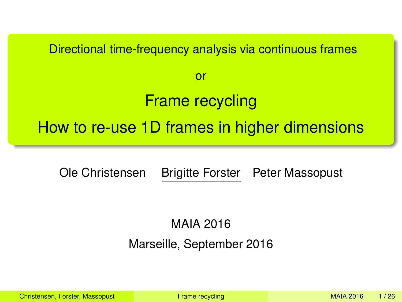<span id="page-0-0"></span>Directional time-frequency analysis via continuous frames or Frame recycling How to re-use 1D frames in higher dimensions

Ole Christensen Brigitte Forster Peter Massopust

MAIA 2016

Marseille, September 2016

Christensen, Forster, Massopust [Frame recycling](#page-25-0) MAIA 2016 MAIA 2016 1/26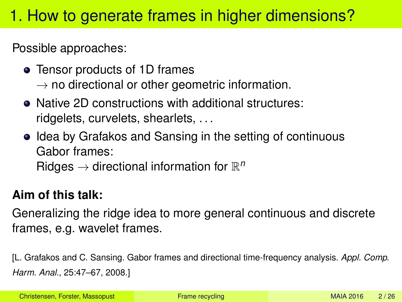# <span id="page-1-0"></span>1. How to generate frames in higher dimensions?

Possible approaches:

- Tensor products of 1D frames  $\rightarrow$  no directional or other geometric information.
- Native 2D constructions with additional structures: ridgelets, curvelets, shearlets, . . .
- Idea by Grafakos and Sansing in the setting of continuous Gabor frames: Ridges  $\rightarrow$  directional information for  $\mathbb{R}^n$

### **Aim of this talk:**

Generalizing the ridge idea to more general continuous and discrete frames, e.g. wavelet frames.

[L. Grafakos and C. Sansing. Gabor frames and directional time-frequency analysis. *Appl. Comp. Harm. Anal.*, 25:47–67, 2008.]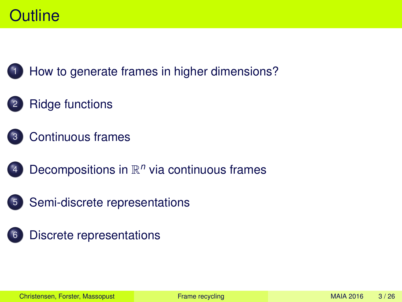## **Outline**



[How to generate frames in higher dimensions?](#page-1-0)

### **[Ridge functions](#page-3-0)**



- 4 Decompositions in  $\mathbb{R}^n$  [via continuous frames](#page-10-0)
- 5 [Semi-discrete representations](#page-11-0)
- [Discrete representations](#page-22-0)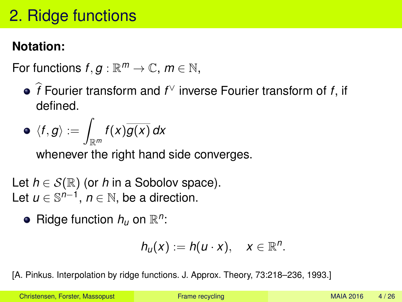# <span id="page-3-0"></span>2. Ridge functions

### **Notation:**

For functions  $f, g: \mathbb{R}^m \to \mathbb{C}, m \in \mathbb{N}$ ,

b*f* Fourier transform and *f* <sup>∨</sup> inverse Fourier transform of *f*, if defined.

$$
\bullet \ \langle f, g \rangle := \int_{\mathbb{R}^m} f(x) \overline{g(x)} \, dx
$$

whenever the right hand side converges.

Let  $h \in \mathcal{S}(\mathbb{R})$  (or *h* in a Sobolov space). Let  $u \in \mathbb{S}^{n-1}$ ,  $n \in \mathbb{N}$ , be a direction.

Ridge function  $h_u$  on  $\mathbb{R}^n$ :

$$
h_u(x) := h(u \cdot x), \quad x \in \mathbb{R}^n.
$$

[A. Pinkus. Interpolation by ridge functions. J. Approx. Theory, 73:218–236, 1993.]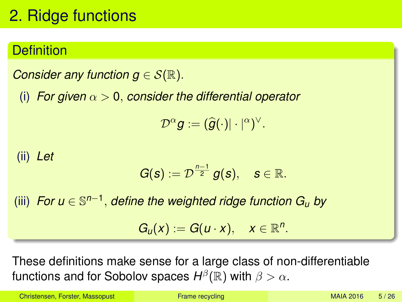# 2. Ridge functions

### **Definition**

*Consider any function*  $g \in \mathcal{S}(\mathbb{R})$ *.* 

(i) *For given*  $\alpha > 0$ , *consider the differential operator* 

 $\mathcal{D}^{\alpha} g := (\widehat{g}(\cdot)| \cdot |^{\alpha})^{\vee}.$ 

(ii) *Let*

$$
G(s):=\mathcal{D}^{\frac{n-1}{2}}g(s),\quad s\in\mathbb{R}.
$$

(iii) *For u* ∈ S *n*−1 , *define the weighted ridge function G<sup>u</sup> by*  $G_u(x) := G(u \cdot x), \quad x \in \mathbb{R}^n$ .

These definitions make sense for a large class of non-differentiable functions and for Sobolov spaces  $H^\beta(\mathbb{R})$  with  $\beta > \alpha.$ 

Christensen, Forster, Massopust [Frame recycling](#page-0-0) MAIA 2016 5/26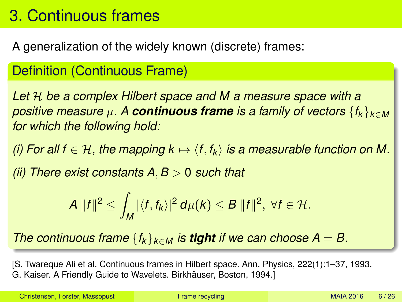## <span id="page-5-0"></span>3. Continuous frames

A generalization of the widely known (discrete) frames:

Definition (Continuous Frame)

*Let* H *be a complex Hilbert space and M a measure space with a positive measure*  $\mu$ . A *continuous frame is a family of vectors*  $\{f_k\}_{k\in M}$ *for which the following hold:*

*(i) For all f*  $\in$  *H*, the mapping  $k \mapsto \langle f, f_k \rangle$  is a measurable function on M.

*(ii) There exist constants A*, *B* > 0 *such that*

$$
A\,||f||^2\leq \int_M |\langle f,f_k\rangle|^2\,d\mu(k)\leq B\,||f||^2,\ \forall f\in\mathcal{H}.
$$

*The continuous frame*  ${f_k}_{k \in M}$  *is tight if we can choose*  $A = B$ .

[S. Twareque Ali et al. Continuous frames in Hilbert space. Ann. Physics, 222(1):1–37, 1993. G. Kaiser. A Friendly Guide to Wavelets. Birkhäuser, Boston, 1994.]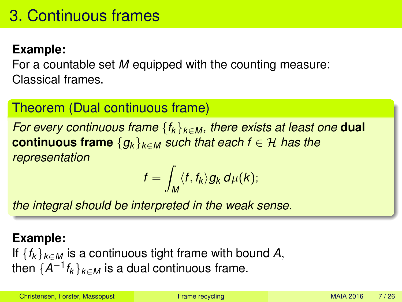### **Example:**

For a countable set *M* equipped with the counting measure: Classical frames.

### Theorem (Dual continuous frame)

*For every continuous frame* {*f<sup>k</sup>* }*k*∈*<sup>M</sup> , there exists at least one* **dual continuous frame**  ${g_k}_{k \in M}$  *such that each f*  $\in \mathcal{H}$  *has the representation*

$$
f=\int_M \langle f, f_k\rangle g_k \, d\mu(k);
$$

*the integral should be interpreted in the weak sense.*

#### **Example:**

If  ${f_k}_{k \in M}$  is a continuous tight frame with bound A, then  $\{A^{-1}f_k\}_{k\in M}$  is a dual continuous frame.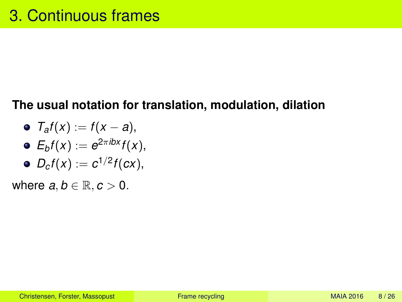### **The usual notation for translation, modulation, dilation**

\n- $$
\mathcal{T}_a f(x) := f(x - a),
$$
\n- $\mathcal{E}_b f(x) := e^{2\pi i bx} f(x),$
\n- $\mathcal{D}_c f(x) := c^{1/2} f(cx),$
\n

where  $a, b \in \mathbb{R}, c > 0$ .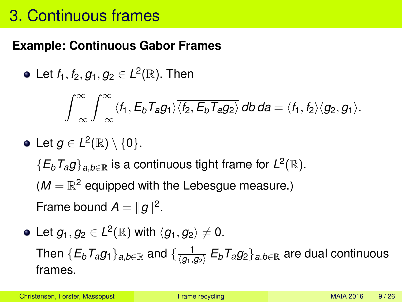## 3. Continuous frames

### **Example: Continuous Gabor Frames**

Let *f*1, *f*2, *g*1, *g*<sup>2</sup> ∈ *L* 2 (R). Then

$$
\int_{-\infty}^{\infty}\int_{-\infty}^{\infty}\langle f_1, E_bT_a g_1\rangle \overline{\langle f_2, E_bT_a g_2\rangle} \,db\,da = \langle f_1, f_2\rangle \langle g_2, g_1\rangle.
$$

\n- Let 
$$
g \in L^2(\mathbb{R}) \setminus \{0\}
$$
.  $\{E_b T_a g\}_{a,b \in \mathbb{R}}$  is a continuous tight frame for  $L^2(\mathbb{R})$ .  $(M = \mathbb{R}^2$  equipped with the Lebesgue measure.)
\n

Frame bound  $A = ||g||^2$ .

Let  $g_1, g_2 \in L^2(\mathbb{R})$  with  $\langle g_1, g_2 \rangle \neq 0.$ Then  $\{E_b T_a g_1\}_{a,b\in \mathbb{R}}$  and  $\{\frac{1}{\langle g_1,g\rangle}\}$ h*g*1,*g*2i *EbTag*2}*a*,*b*∈<sup>R</sup> are dual continuous frames.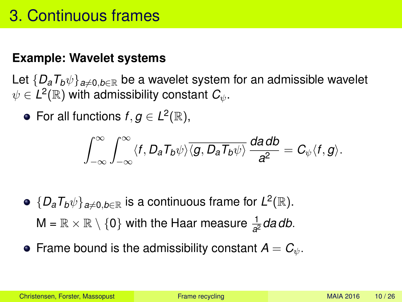## 3. Continuous frames

#### **Example: Wavelet systems**

Let  $\{D_a T_b \psi\}_{a \neq 0, b \in \mathbb{R}}$  be a wavelet system for an admissible wavelet  $\psi \in L^2(\mathbb{R})$  with admissibility constant  $C_\psi.$ 

For all functions  $f, g \in L^2(\mathbb{R}),$ 

$$
\int_{-\infty}^{\infty}\int_{-\infty}^{\infty}\langle f, D_{\bm a}T_{\bm b}\psi\rangle\overline{\langle \bm g, D_{\bm a}T_{\bm b}\psi\rangle}\,\frac{d\bm a\,d\bm b}{\bm a^2}=\bm C_\psi\langle \bm f, \bm g\rangle.
$$

- $\{D_a T_b \psi\}_{a \neq 0, b \in \mathbb{R}}$  is a continuous frame for  $L^2(\mathbb{R})$ .  $\mathsf{M} = \mathbb{R} \times \mathbb{R} \setminus \{ \mathsf{0} \}$  with the Haar measure  $\frac{1}{a^2}$ *da db*.
- **•** Frame bound is the admissibility constant  $A = C_{\psi}$ .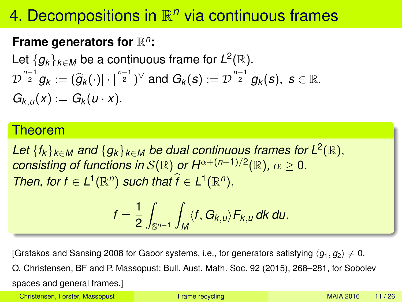# <span id="page-10-0"></span>4. Decompositions in  $\mathbb{R}^n$  via continuous frames

### Frame generators for  $\mathbb{R}^n$ :

Let  $\{g_k\}_{k\in M}$  be a continuous frame for  $L^2(\mathbb{R})$ .  $\mathcal{D}^{\frac{n-1}{2}}g_k := (\widehat{g}_k(\cdot)|\cdot|^{\frac{n-1}{2}})^\vee$  and  $G_k(s) := \mathcal{D}^{\frac{n-1}{2}}g_k(s), \ s \in \mathbb{R}$ .  $G_{k,u}(x) := G_k(u \cdot x)$ .

#### Theorem

 $\mathcal{L}$ et  $\{f_k\}_{k\in\mathcal{M}}$  and  $\{g_k\}_{k\in\mathcal{M}}$  be dual continuous frames for  $\mathcal{L}^2(\mathbb{R}),$  $\alpha$  *consisting of functions in S*( $\mathbb R$ ) *or H*α+( $n-1/2$  $(\mathbb R)$ ,  $\alpha \geq 0$ . *Then, for*  $f \in L^1(\mathbb{R}^n)$  *such that*  $\hat{f} \in L^1(\mathbb{R}^n)$ ,

$$
f=\frac{1}{2}\int_{\mathbb{S}^{n-1}}\int_M\langle f, G_{k,u}\rangle F_{k,u}\,dk\,du.
$$

[Grafakos and Sansing 2008 for Gabor systems, i.e., for generators satisfying  $\langle q_1, q_2 \rangle \neq 0$ . O. Christensen, BF and P. Massopust: Bull. Aust. Math. Soc. 92 (2015), 268–281, for Sobolev spaces and general frames.]

Christensen, Forster, Massopust [Frame recycling](#page-0-0) MAIA 2016 11/26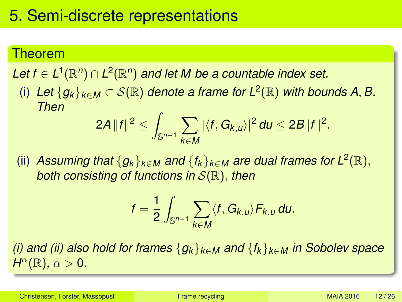#### <span id="page-11-0"></span>Theorem

 $\mathsf{Let}\;f\in\mathsf{L}^1(\mathbb{R}^n)\cap\mathsf{L}^2(\mathbb{R}^n)$  and let M be a countable index set.

(i) Let  ${g_k}_{k∈M}$  ⊂  $S(\mathbb{R})$  denote a frame for  $L^2(\mathbb{R})$  with bounds A, B. *Then*

$$
2A\|f\|^2\leq \int_{\mathbb{S}^{n-1}}\sum_{k\in M}|\langle f, G_{k,u}\rangle|^2 du\leq 2B\|f\|^2.
$$

(ii) *Assuming that*  ${g_k}_{k∈M}$  *and*  ${f_k}_{k∈M}$  *are dual frames for*  $L^2(\mathbb{R})$ , *both consisting of functions in* S(R), *then*

$$
f=\frac{1}{2}\int_{\mathbb{S}^{n-1}}\sum_{k\in M}\langle f,G_{k,u}\rangle F_{k,u}\,du.
$$

*(i) and (ii) also hold for frames* {*g<sup>k</sup>* }*k*∈*<sup>M</sup> and* {*f<sup>k</sup>* }*k*∈*<sup>M</sup> in Sobolev space*  $H^{\alpha}(\mathbb{R})$ *,*  $\alpha > 0$ *.*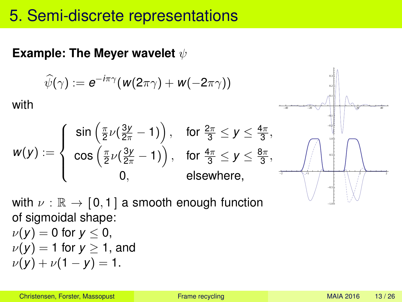#### **Example: The Meyer wavelet**  $ψ$

$$
\widehat{\psi}(\gamma) := e^{-i\pi\gamma} (w(2\pi\gamma) + w(-2\pi\gamma))
$$

with

$$
w(y) := \left\{ \begin{array}{cl} \sin\left(\frac{\pi}{2}\nu(\frac{3y}{2\pi} - 1)\right), & \text{for } \frac{2\pi}{3} \leq y \leq \frac{4\pi}{3}, \\ \cos\left(\frac{\pi}{2}\nu(\frac{3y}{2\pi} - 1)\right), & \text{for } \frac{4\pi}{3} \leq y \leq \frac{8\pi}{3}, \\ 0, & \text{elsewhere,} \end{array} \right.
$$

with  $\nu : \mathbb{R} \to [0, 1]$  a smooth enough function of sigmoidal shape:  $\nu(y) = 0$  for  $y \leq 0$ ,  $\nu(y) = 1$  for  $y \ge 1$ , and  $\nu(y) + \nu(1 - y) = 1.$ 

 $-40$   $-20$   $\bigvee$   $10$   $1$   $\bigvee$   $29$   $40$ -0.2 -0.1 0.1 0.2 0.3

-2 -1 1 2

 $0.5$ 1.0

-1.0 -0.5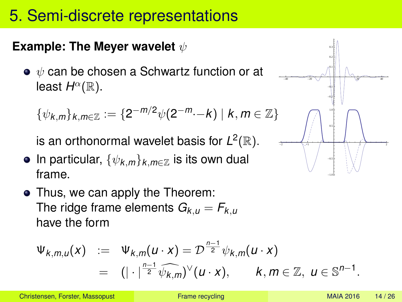#### **Example: The Meyer wavelet**  $ψ$

 $\bullet \psi$  can be chosen a Schwartz function or at least  $H^{\alpha}(\mathbb{R})$ .

$$
\{\psi_{k,m}\}_{k,m\in\mathbb{Z}}:=\{2^{-m/2}\psi(2^{-m}\cdot-k)\mid k,m\in\mathbb{Z}\}\
$$

is an orthonormal wavelet basis for  $L^2(\mathbb{R})$ .

- In particular,  $\{\psi_{k,m}\}_{k,m\in\mathbb{Z}}$  is its own dual frame.
- Thus, we can apply the Theorem: The ridge frame elements  $G_{k,u} = F_{k,u}$ have the form

$$
\Psi_{k,m,u}(x) := \Psi_{k,m}(u \cdot x) = \mathcal{D}^{\frac{n-1}{2}} \psi_{k,m}(u \cdot x)
$$
  
=  $(|\cdot|^{\frac{n-1}{2}} \widehat{\psi_{k,m}})^{\vee}(u \cdot x), \qquad k, m \in \mathbb{Z}, u \in \mathbb{S}^{n-1}.$ 

-40 -20 20 40 -0.2 -0.1 0.1 0.2 **9.3** -2 -1 1 2 -0.5 0.5 1.0

-1.0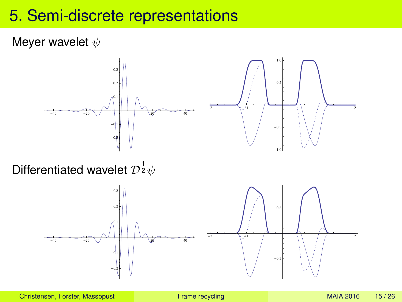#### Meyer wavelet  $\psi$



Differentiated wavelet  ${\cal D}^{\frac{1}{2}}\psi$ 

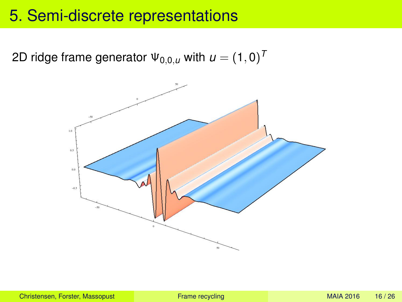2D ridge frame generator  $\Psi_{0,0,u}$  with  $u=(1,0)^T$ 

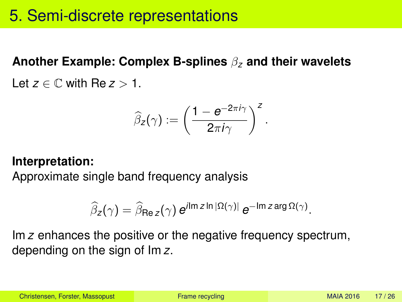**Another Example: Complex B-splines** β*<sup>z</sup>* **and their wavelets** Let  $z \in \mathbb{C}$  with Re  $z > 1$ .

$$
\widehat{\beta}_{\mathsf{z}}(\gamma) := \left(\frac{1 - e^{-2\pi i \gamma}}{2\pi i \gamma}\right)^{\mathsf{z}}.
$$

#### **Interpretation:**

Approximate single band frequency analysis

$$
\widehat{\beta}_{z}(\gamma) = \widehat{\beta}_{\text{Re } z}(\gamma) e^{i \text{Im } z \ln |\Omega(\gamma)|} e^{-\text{Im } z \arg \Omega(\gamma)}.
$$

Im *z* enhances the positive or the negative frequency spectrum, depending on the sign of Im *z*.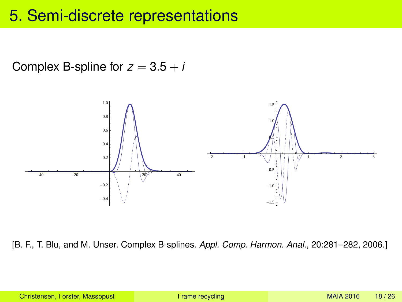Complex B-spline for  $z = 3.5 + i$ 



[B. F., T. Blu, and M. Unser. Complex B-splines. *Appl. Comp. Harmon. Anal.*, 20:281–282, 2006.]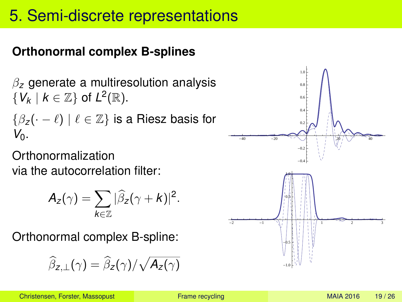### **Orthonormal complex B-splines**

β*<sup>z</sup>* generate a multiresolution analysis  $\{V_k \mid k \in \mathbb{Z}\}$  of  $L^2(\mathbb{R})$ .  $\{\beta_z(\cdot - \ell) \mid \ell \in \mathbb{Z}\}\$ is a Riesz basis for *V*0.

**Orthonormalization** via the autocorrelation filter:

$$
A_z(\gamma)=\sum_{k\in\mathbb{Z}}|\widehat{\beta}_z(\gamma+k)|^2.
$$

Orthonormal complex B-spline:

$$
\widehat{\beta}_{z,\perp}(\gamma)=\widehat{\beta}_{z}(\gamma)/\sqrt{A_{z}(\gamma)}
$$

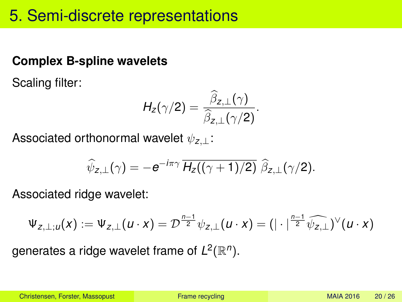#### **Complex B-spline wavelets**

Scaling filter:

$$
H_{z}(\gamma/2)=\frac{\widehat{\beta}_{z,\perp}(\gamma)}{\widehat{\beta}_{z,\perp}(\gamma/2)}.
$$

Associated orthonormal wavelet ψ*z*,⊥:

$$
\widehat{\psi}_{z,\perp}(\gamma) = -e^{-i\pi\gamma} \overline{H_z((\gamma+1)/2)} \widehat{\beta}_{z,\perp}(\gamma/2).
$$

Associated ridge wavelet:

$$
\Psi_{z,\perp;u}(x):=\Psi_{z,\perp}(u\cdot x)=\mathcal{D}^{\frac{n-1}{2}}\psi_{z,\perp}(u\cdot x)=(|\cdot|^{\frac{n-1}{2}}\widehat{\psi_{z,\perp}})^{\vee}(u\cdot x)
$$

generates a ridge wavelet frame of  $L^2(\mathbb{R}^n)$ .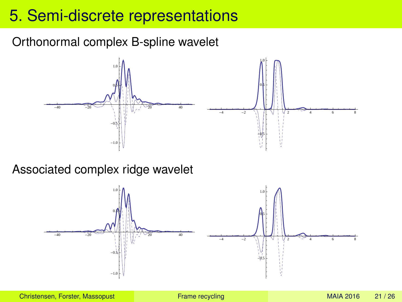#### Orthonormal complex B-spline wavelet



#### Associated complex ridge wavelet

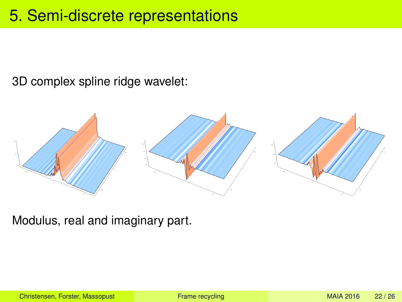3D complex spline ridge wavelet:



Modulus, real and imaginary part.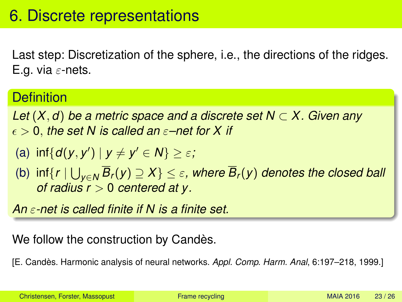<span id="page-22-0"></span>Last step: Discretization of the sphere, i.e., the directions of the ridges. E.g. via  $\varepsilon$ -nets.

#### **Definition**

*Let* (*X*, *d*) *be a metric space and a discrete set N* ⊂ *X. Given any*  $\epsilon > 0$ , the set N is called an  $\varepsilon$ -net for X if

(a) 
$$
\inf\{d(y, y') \mid y \neq y' \in N\} \geq \varepsilon;
$$

 $\mathsf{S}(b)$  inf $\{r\mid \bigcup_{y\in \mathsf{N}}B_r(y)\supseteq X\}\leq \varepsilon$ , where  $B_r(y)$  denotes the closed ball *of radius r* > 0 *centered at y.*

*An* ε*-net is called finite if N is a finite set.*

#### We follow the construction by Candès.

[E. Candès. Harmonic analysis of neural networks. *Appl. Comp. Harm. Anal*, 6:197–218, 1999.]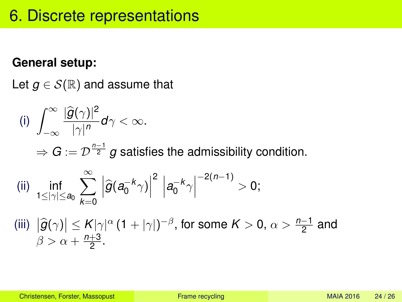#### **General setup:**

Let  $g \in \mathcal{S}(\mathbb{R})$  and assume that

(i) 
$$
\int_{-\infty}^{\infty} \frac{|\widehat{g}(\gamma)|^2}{|\gamma|^n} d\gamma < \infty.
$$
  
\n
$$
\Rightarrow G := \mathcal{D}^{\frac{n-1}{2}} g \text{ satisfies the admissibility condition.}
$$
  
\n(ii) 
$$
\inf_{1 \le |\gamma| \le a_0} \sum_{k=0}^{\infty} \left| \widehat{g}(a_0^{-k}\gamma) \right|^2 \left| a_0^{-k}\gamma \right|^{-2(n-1)} > 0;
$$
  
\n(iii) 
$$
|\widehat{g}(\gamma)| \le K|\gamma|^{\alpha} (1 + |\gamma|)^{-\beta}, \text{ for some } K > 0, \alpha > \frac{n-1}{2} \text{ and }
$$
  
\n
$$
\beta > \alpha + \frac{n+3}{2}.
$$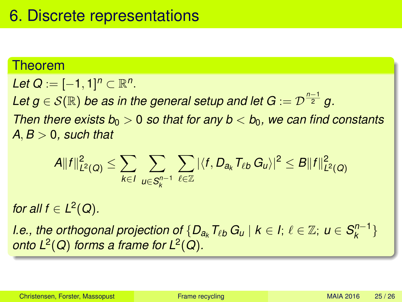#### Theorem

*Let*  $Q := [-1, 1]^n \subset \mathbb{R}^n$ . Let  $g \in \mathcal{S}(\mathbb{R})$  be as in the general setup and let  $G := \mathcal{D}^{\frac{n-1}{2}}$   $g$ . *Then there exists*  $b_0 > 0$  *so that for any*  $b < b_0$ *, we can find constants*  $A, B > 0$ , such that

$$
A||f||_{L^{2}(Q)}^{2} \leq \sum_{k \in I} \sum_{u \in S_{k}^{n-1}} \sum_{\ell \in \mathbb{Z}} |\langle f, D_{a_{k}} T_{\ell b} G_{u} \rangle|^{2} \leq B||f||_{L^{2}(Q)}^{2}
$$

*for all*  $f \in L^2(Q)$ *.* 

*I.e., the orthogonal projection of*  $\{D_{a_k}T_{\ell b}G_{u} \mid k \in I; \ \ell \in \mathbb{Z}; \ u \in S^{n-1}_{k}\}$  $\binom{n-1}{k}$ *onto*  $L^2(Q)$  *forms a frame for*  $L^2(Q)$ *.*